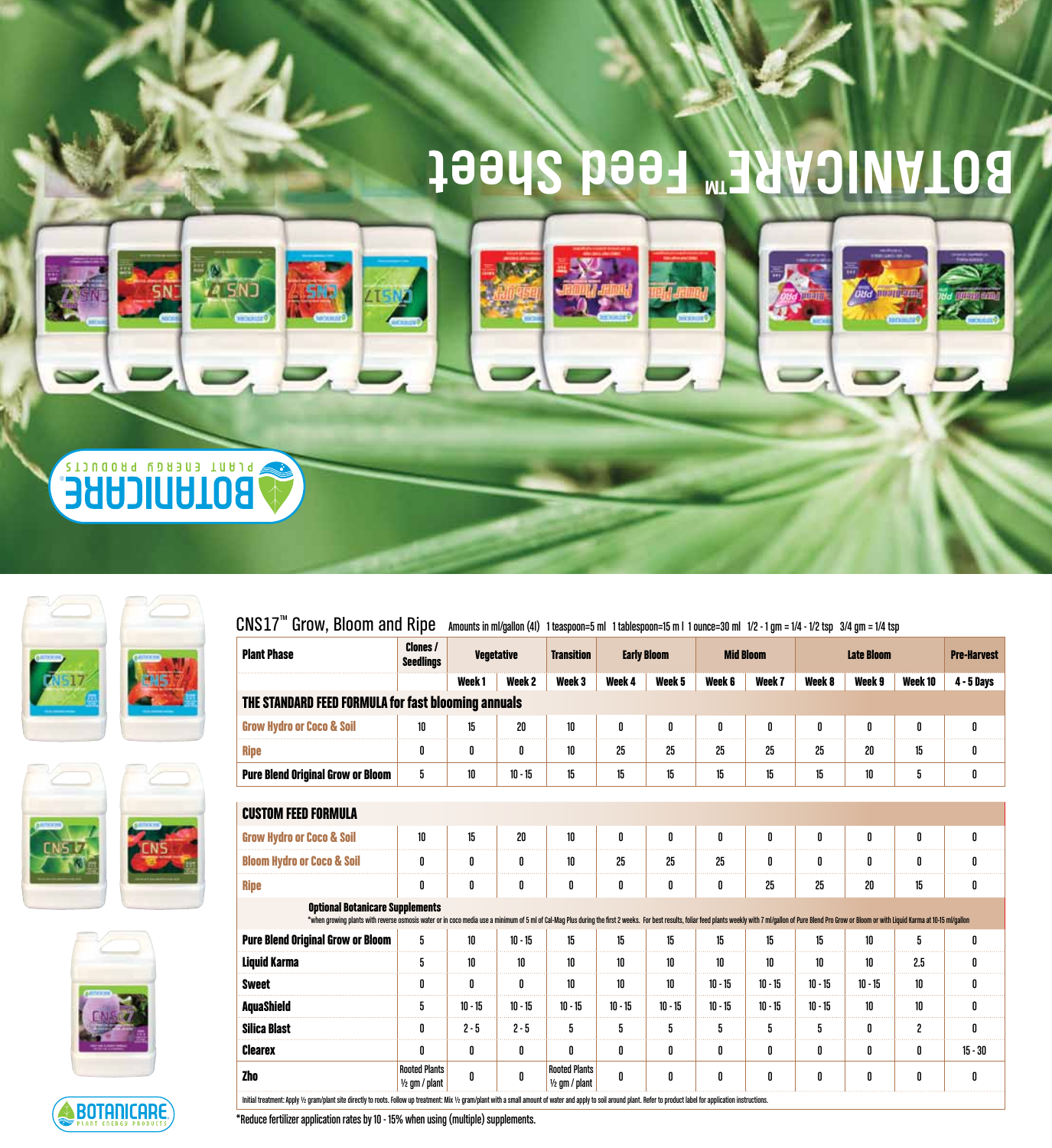## **BOTANICARE™ Feed Sheet**









BOTANICARE

 $\text{CNS17}^{\text{m}}$  Grow, Bloom and Ripe Amounts in ml/gallon (4l) 1 teaspoon=5 ml 1 tablespoon=15 m l 1 ounce=30 ml 1/2 - 1 gm = 1/4 - 1/2 tsp 3/4 gm = 1/4 tsp

| <b>Plant Phase</b>                                                                                                                                                                                                                                                      | <b>Clones /</b><br><b>Seedlings</b>      |                   | <b>Vegetative</b> | <b>Transition</b>                        |           | <b>Early Bloom</b> | <b>Mid Bloom</b> |           | <b>Late Bloom</b> |           |         | <b>Pre-Harvest</b> |
|-------------------------------------------------------------------------------------------------------------------------------------------------------------------------------------------------------------------------------------------------------------------------|------------------------------------------|-------------------|-------------------|------------------------------------------|-----------|--------------------|------------------|-----------|-------------------|-----------|---------|--------------------|
|                                                                                                                                                                                                                                                                         |                                          | Week <sub>1</sub> | Week <sub>2</sub> | Week <sub>3</sub>                        | Week 4    | Week 5             | Week 6           | Week 7    | Week 8            | Week 9    | Week 10 | <b>4 - 5 Days</b>  |
| THE STANDARD FEED FORMULA for fast blooming annuals                                                                                                                                                                                                                     |                                          |                   |                   |                                          |           |                    |                  |           |                   |           |         |                    |
| <b>Grow Hydro or Coco &amp; Soil</b>                                                                                                                                                                                                                                    | 10                                       | 15                | 20                | 10                                       | 0         | 0                  | 0                | 0         | 0                 | 0         | 0       | 0                  |
| <b>Ripe</b>                                                                                                                                                                                                                                                             | 0                                        | 0                 | 0                 | 10                                       | 25        | 25                 | 25               | 25        | 25                | 20        | 15      | 0                  |
| <b>Pure Blend Original Grow or Bloom</b>                                                                                                                                                                                                                                | 5                                        | $10\,$            | $10 - 15$         | 15                                       | 15        | 15                 | 15               | 15        | 15                | 10        | 5       | 0                  |
| <b>CUSTOM FEED FORMULA</b>                                                                                                                                                                                                                                              |                                          |                   |                   |                                          |           |                    |                  |           |                   |           |         |                    |
| <b>Grow Hydro or Coco &amp; Soil</b>                                                                                                                                                                                                                                    | 10                                       | 15                | 20                | 10                                       | 0         | 0                  | 0                | 0         | 0                 | 0         | 0       | 0                  |
| <b>Bloom Hydro or Coco &amp; Soil</b>                                                                                                                                                                                                                                   | 0                                        | 0                 | 0                 | 10                                       | 25        | 25                 | 25               | 0         | 0                 | 0         | 0       | 0                  |
| <b>Ripe</b>                                                                                                                                                                                                                                                             | 0                                        | 0                 | 0                 | 0                                        | 0         | 0                  | 0                | 25        | 25                | 20        | 15      | 0                  |
| <b>Optional Botanicare Supplements</b><br>*when growing plants with reverse osmosis water or in coco media use a minimum of 5 ml of Cal-Mag Plus during the first 2 weeks. For best results, foliar feed plants weekly with 7 ml/gallon of Pure Blend Pro Grow or Bloom |                                          |                   |                   |                                          |           |                    |                  |           |                   |           |         |                    |
| <b>Pure Blend Original Grow or Bloom</b>                                                                                                                                                                                                                                | 5                                        | 10                | $10 - 15$         | 15                                       | 15        | 15                 | 15               | 15        | 15                | 10        | 5       | 0                  |
| <b>Liquid Karma</b>                                                                                                                                                                                                                                                     | 5                                        | 10                | 10                | 10                                       | 10        | 10                 | 10               | 10        | 10                | 10        | 2.5     | 0                  |
| <b>Sweet</b>                                                                                                                                                                                                                                                            | 0                                        | 0                 | 0                 | 10                                       | 10        | 10                 | $10 - 15$        | $10 - 15$ | $10 - 15$         | $10 - 15$ | 10      | 0                  |
| <b>AquaShield</b>                                                                                                                                                                                                                                                       | 5                                        | $10 - 15$         | $10 - 15$         | $10 - 15$                                | $10 - 15$ | $10 - 15$          | $10 - 15$        | $10 - 15$ | $10 - 15$         | 10        | 10      | 0                  |
| <b>Silica Blast</b>                                                                                                                                                                                                                                                     | 0                                        | $2 - 5$           | $2 - 5$           | 5                                        | 5         | 5                  | 5                | 5         | 5                 | 0         | 2       | 0                  |
| <b>Clearex</b>                                                                                                                                                                                                                                                          | 0                                        | 0                 | 0                 | 0                                        | 0         | 0                  | 0                | 0         | 0                 | 0         | 0       | $15 - 30$          |
| <b>Zho</b>                                                                                                                                                                                                                                                              | <b>Rooted Plants</b><br>$1/2$ qm / plant | 0                 | 0                 | <b>Rooted Plants</b><br>$1/2$ am / plant | 0         | 0                  | 0                | 0         | 0                 | 0         | 0       | 0                  |

\*Reduce fertilizer application rates by 10 - 15% when using (multiple) supplements.